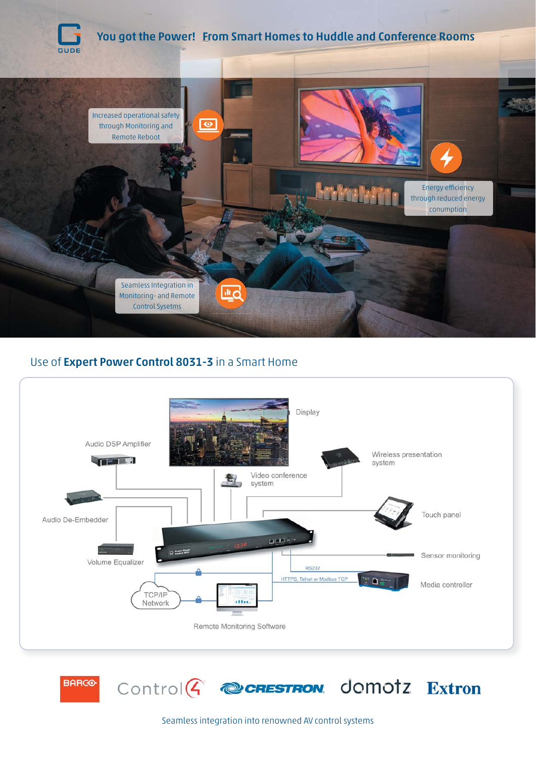

# Use of Expert Power Control 8031-3 in a Smart Home





Seamless integration into renowned AV control systems